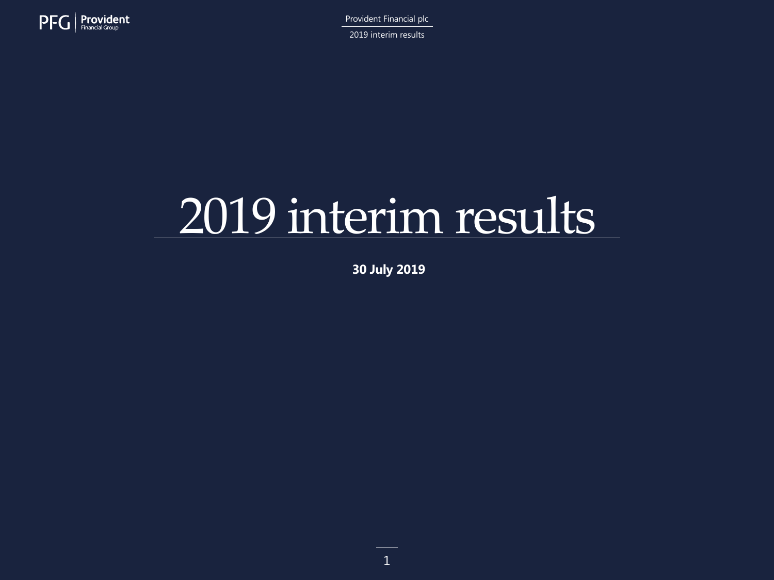

2019 interim results

# 2019 interim results

**30 July 2019**

1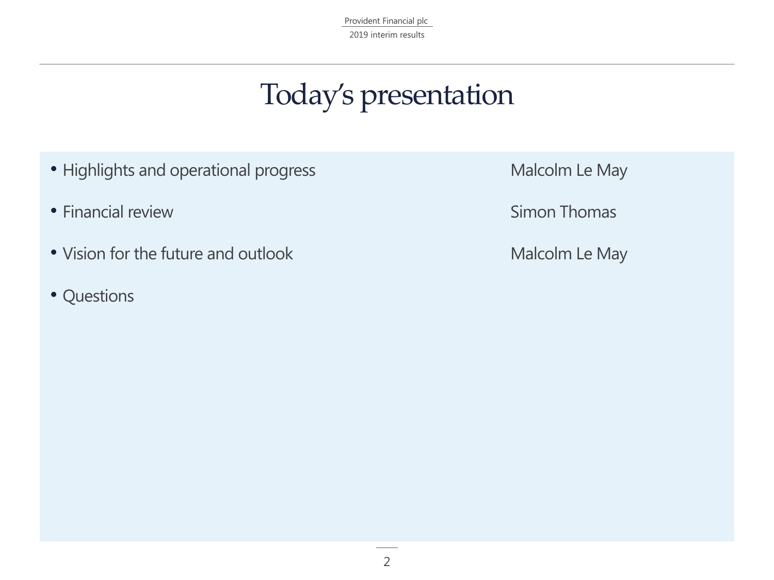Provident Financial plc 2019 interim results

### Today's presentation

- Highlights and operational progress **Malcolm Le May**
- Financial review **Simon Thomas**
- Vision for the future and outlook Malcolm Le May
- Questions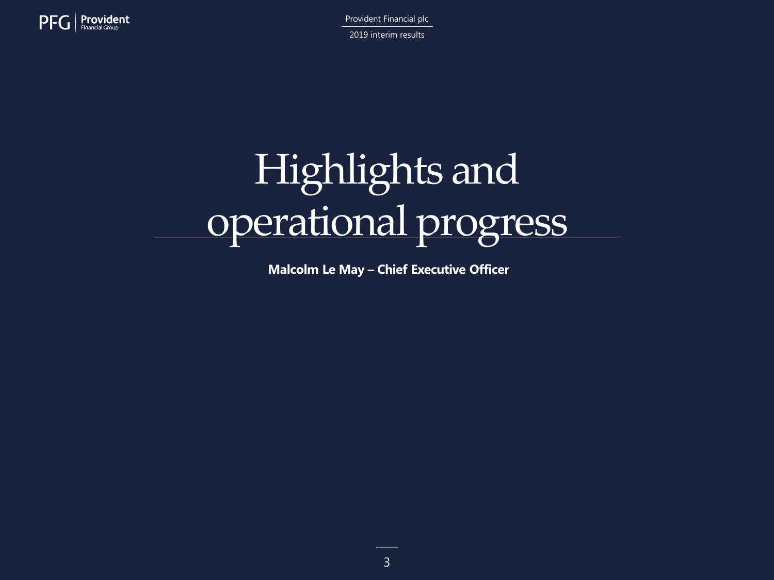

Provident Financial plc 2019 interim results

# Highlights and operational progress

**Malcolm Le May – Chief Executive Officer**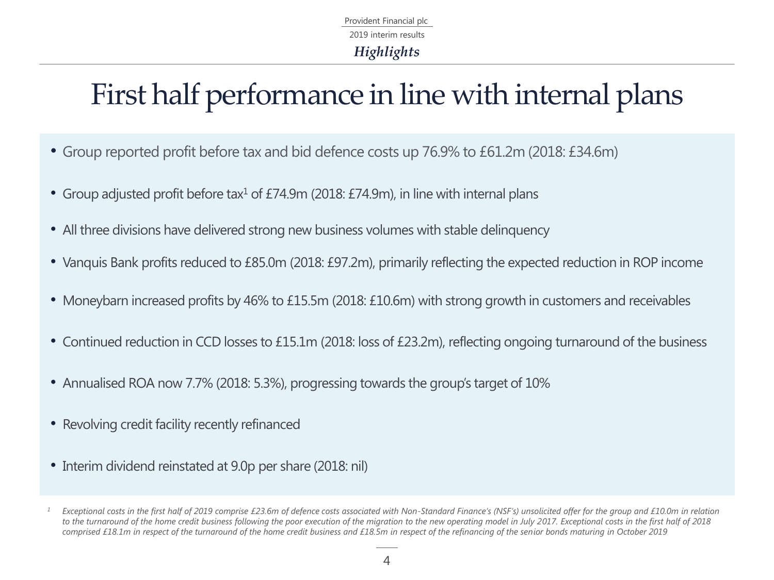Provident Financial plc *Highlights* 2019 interim results

### First half performance in line with internal plans

- Group reported profit before tax and bid defence costs up 76.9% to £61.2m (2018: £34.6m)
- Group adjusted profit before tax<sup>1</sup> of £74.9m (2018: £74.9m), in line with internal plans
- All three divisions have delivered strong new business volumes with stable delinquency
- Vanquis Bank profits reduced to £85.0m (2018: £97.2m), primarily reflecting the expected reduction in ROP income
- Moneybarn increased profits by 46% to £15.5m (2018: £10.6m) with strong growth in customers and receivables
- Continued reduction in CCD losses to £15.1m (2018: loss of £23.2m), reflecting ongoing turnaround of the business
- Annualised ROA now 7.7% (2018: 5.3%), progressing towards the group's target of 10%
- Revolving credit facility recently refinanced
- Interim dividend reinstated at 9.0p per share (2018: nil)

*<sup>1</sup> Exceptional costs in the first half of 2019 comprise £23.6m of defence costs associated with Non-Standard Finance's (NSF's) unsolicited offer for the group and £10.0m in relation to the turnaround of the home credit business following the poor execution of the migration to the new operating model in July 2017. Exceptional costs in the first half of 2018*  comprised £18.1m in respect of the turnaround of the home credit business and £18.5m in respect of the refinancing of the senior bonds maturing in October 2019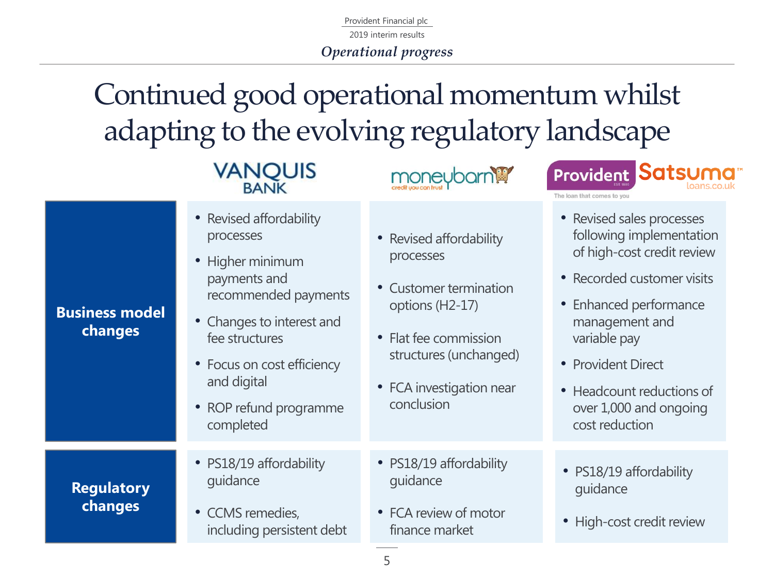2019 interim results

*Operational progress*

### Continued good operational momentum whilst adapting to the evolving regulatory landscape

## **VANQUIS**





• Revised affordability processes

**Business model changes**

> **Regulatory changes**

- Higher minimum payments and recommended payments
- Changes to interest and fee structures
- Focus on cost efficiency and digital
- ROP refund programme completed
- PS18/19 affordability guidance
- CCMS remedies, including persistent debt
- Revised affordability processes
- Customer termination options (H2-17)
- Flat fee commission structures (unchanged)
- FCA investigation near conclusion
- PS18/19 affordability guidance
- FCA review of motor finance market
- Revised sales processes following implementation of high-cost credit review
- Recorded customer visits
- Enhanced performance management and variable pay
- Provident Direct
- Headcount reductions of over 1,000 and ongoing cost reduction
- PS18/19 affordability guidance
- High-cost credit review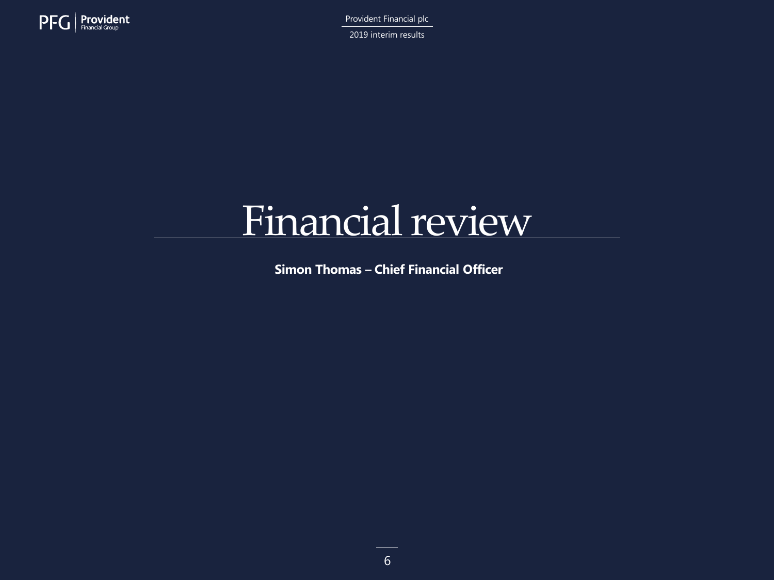

2019 interim results

## Financial review

**Simon Thomas – Chief Financial Officer**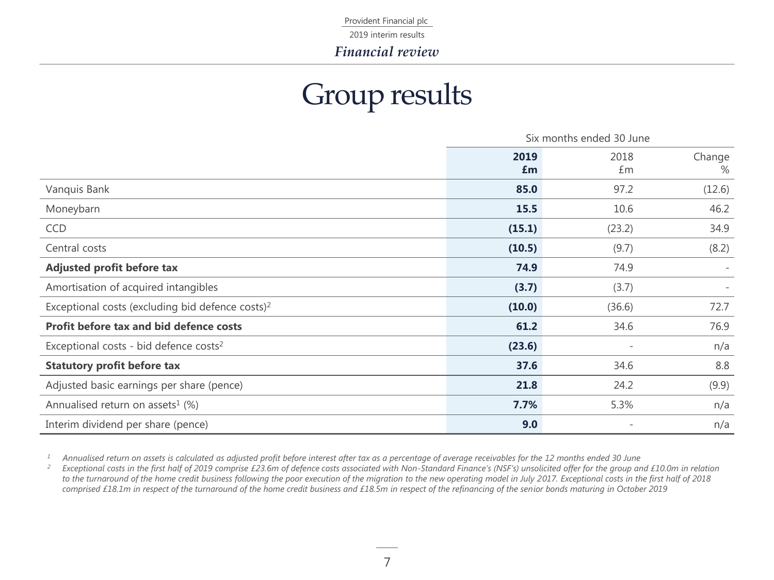2019 interim results

*Financial review*

### Group results

|                                                              | Six months ended 30 June |            |             |
|--------------------------------------------------------------|--------------------------|------------|-------------|
|                                                              | 2019<br>£m               | 2018<br>£m | Change<br>% |
| Vanquis Bank                                                 | 85.0                     | 97.2       | (12.6)      |
| Moneybarn                                                    | 15.5                     | 10.6       | 46.2        |
| <b>CCD</b>                                                   | (15.1)                   | (23.2)     | 34.9        |
| Central costs                                                | (10.5)                   | (9.7)      | (8.2)       |
| Adjusted profit before tax                                   | 74.9                     | 74.9       |             |
| Amortisation of acquired intangibles                         | (3.7)                    | (3.7)      |             |
| Exceptional costs (excluding bid defence costs) <sup>2</sup> | (10.0)                   | (36.6)     | 72.7        |
| Profit before tax and bid defence costs                      | 61.2                     | 34.6       | 76.9        |
| Exceptional costs - bid defence costs <sup>2</sup>           | (23.6)                   |            | n/a         |
| <b>Statutory profit before tax</b>                           | 37.6                     | 34.6       | 8.8         |
| Adjusted basic earnings per share (pence)                    | 21.8                     | 24.2       | (9.9)       |
| Annualised return on assets <sup>1</sup> (%)                 | 7.7%                     | 5.3%       | n/a         |
| Interim dividend per share (pence)                           | 9.0                      |            | n/a         |

<sup>1</sup> Annualised return on assets is calculated as adjusted profit before interest after tax as a percentage of average receivables for the 12 months ended 30 June

*<sup>2</sup> Exceptional costs in the first half of 2019 comprise £23.6m of defence costs associated with Non-Standard Finance's (NSF's) unsolicited offer for the group and £10.0m in relation to the turnaround of the home credit business following the poor execution of the migration to the new operating model in July 2017. Exceptional costs in the first half of 2018 comprised £18.1m in respect of the turnaround of the home credit business and £18.5m in respect of the refinancing of the senior bonds maturing in October 2019*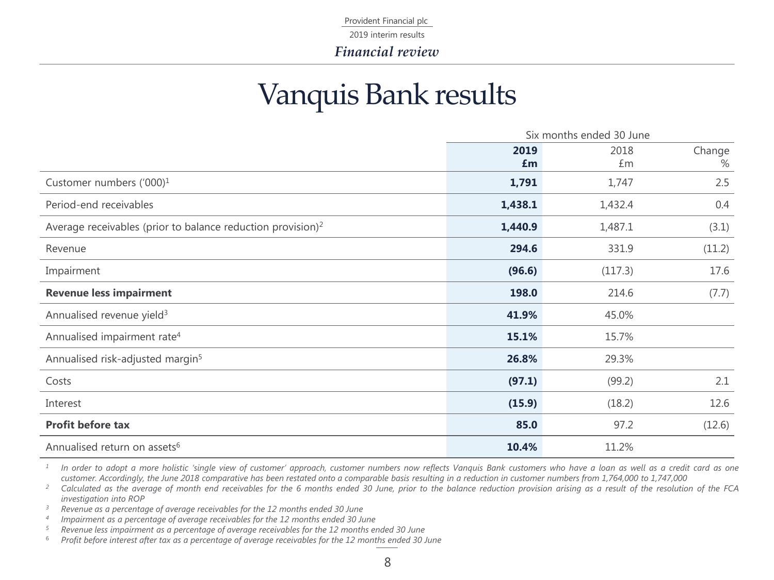2019 interim results

*Financial review*

### Vanquis Bank results

|                                                                         | Six months ended 30 June |         |        |
|-------------------------------------------------------------------------|--------------------------|---------|--------|
|                                                                         | 2019                     | 2018    | Change |
|                                                                         | £m                       | £m      | %      |
| Customer numbers ('000) <sup>1</sup>                                    | 1,791                    | 1,747   | 2.5    |
| Period-end receivables                                                  | 1,438.1                  | 1,432.4 | 0.4    |
| Average receivables (prior to balance reduction provision) <sup>2</sup> | 1,440.9                  | 1,487.1 | (3.1)  |
| Revenue                                                                 | 294.6                    | 331.9   | (11.2) |
| Impairment                                                              | (96.6)                   | (117.3) | 17.6   |
| <b>Revenue less impairment</b>                                          | 198.0                    | 214.6   | (7.7)  |
| Annualised revenue yield <sup>3</sup>                                   | 41.9%                    | 45.0%   |        |
| Annualised impairment rate <sup>4</sup>                                 | 15.1%                    | 15.7%   |        |
| Annualised risk-adjusted margin <sup>5</sup>                            | 26.8%                    | 29.3%   |        |
| Costs                                                                   | (97.1)                   | (99.2)  | 2.1    |
| Interest                                                                | (15.9)                   | (18.2)  | 12.6   |
| <b>Profit before tax</b>                                                | 85.0                     | 97.2    | (12.6) |
| Annualised return on assets <sup>6</sup>                                | 10.4%                    | 11.2%   |        |

*1* In order to adopt a more holistic 'single view of customer' approach, customer numbers now reflects Vanquis Bank customers who have a loan as well as a credit card as one customer. Accordingly, the June 2018 comparative has been restated onto a comparable basis resulting in a reduction in customer numbers from 1,764,000 to 1,747,000

<sup>2</sup> Calculated as the average of month end receivables for the 6 months ended 30 June, prior to the balance reduction provision arising as a result of the resolution of the FCA *investigation into ROP*

*<sup>3</sup> Revenue as a percentage of average receivables for the 12 months ended 30 June*

*4 Impairment as a percentage of average receivables for the 12 months ended 30 June*

*<sup>5</sup> Revenue less impairment as a percentage of average receivables for the 12 months ended 30 June*

<sup>6</sup> Profit before interest after tax as a percentage of average receivables for the 12 months ended 30 June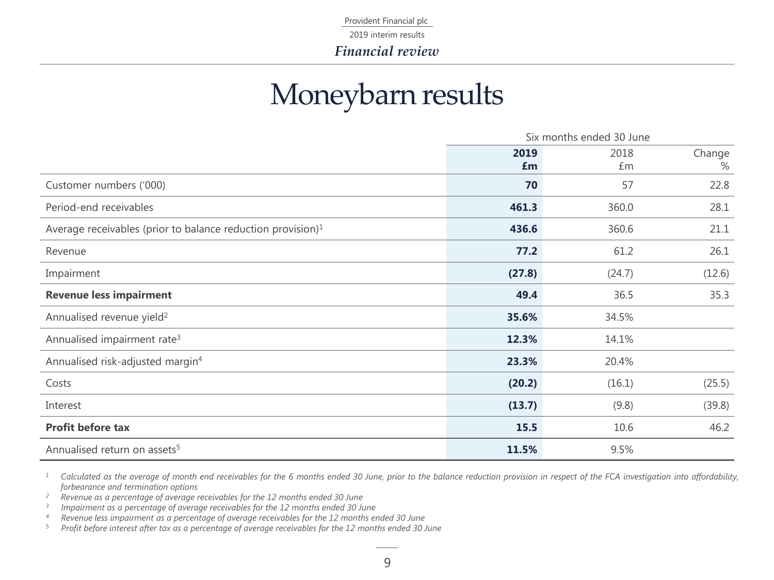2019 interim results

*Financial review*

### Moneybarn results

|                                                                | Six months ended 30 June |        |        |
|----------------------------------------------------------------|--------------------------|--------|--------|
|                                                                | 2019                     | 2018   | Change |
|                                                                | £m                       | £m     | %      |
| Customer numbers ('000)                                        | 70                       | 57     | 22.8   |
| Period-end receivables                                         | 461.3                    | 360.0  | 28.1   |
| Average receivables (prior to balance reduction provision) $1$ | 436.6                    | 360.6  | 21.1   |
| Revenue                                                        | $77.2$                   | 61.2   | 26.1   |
| Impairment                                                     | (27.8)                   | (24.7) | (12.6) |
| <b>Revenue less impairment</b>                                 | 49.4                     | 36.5   | 35.3   |
| Annualised revenue yield <sup>2</sup>                          | 35.6%                    | 34.5%  |        |
| Annualised impairment rate <sup>3</sup>                        | 12.3%                    | 14.1%  |        |
| Annualised risk-adjusted margin <sup>4</sup>                   | 23.3%                    | 20.4%  |        |
| Costs                                                          | (20.2)                   | (16.1) | (25.5) |
| Interest                                                       | (13.7)                   | (9.8)  | (39.8) |
| <b>Profit before tax</b>                                       | 15.5                     | 10.6   | 46.2   |
| Annualised return on assets <sup>5</sup>                       | 11.5%                    | 9.5%   |        |

<sup>1</sup> Calculated as the average of month end receivables for the 6 months ended 30 June, prior to the balance reduction provision in respect of the FCA investigation into affordability, *forbearance and termination options*

*<sup>2</sup> Revenue as a percentage of average receivables for the 12 months ended 30 June*

*3 Impairment as a percentage of average receivables for the 12 months ended 30 June*

*<sup>4</sup> Revenue less impairment as a percentage of average receivables for the 12 months ended 30 June*

Profit before interest after tax as a percentage of average receivables for the 12 months ended 30 June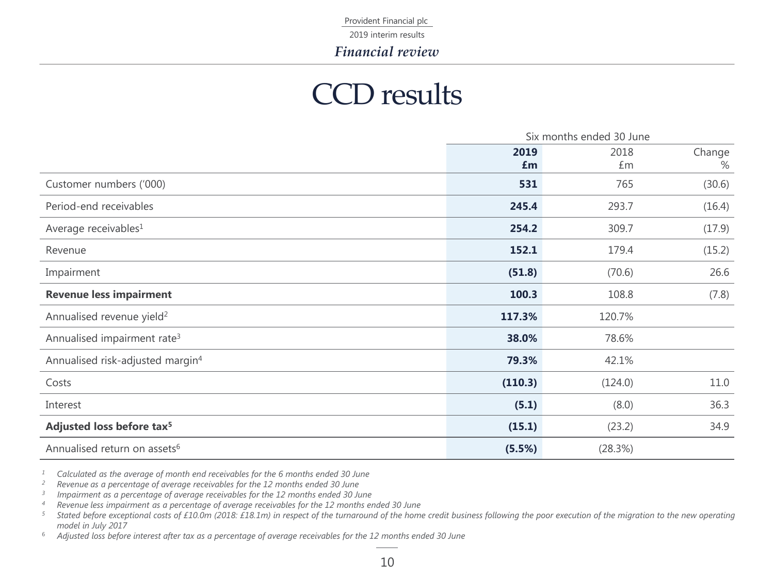2019 interim results

*Financial review*

### CCD results

|                                              | Six months ended 30 June |         |        |
|----------------------------------------------|--------------------------|---------|--------|
|                                              | 2019                     | 2018    | Change |
|                                              | £m                       | £m      | %      |
| Customer numbers ('000)                      | 531                      | 765     | (30.6) |
| Period-end receivables                       | 245.4                    | 293.7   | (16.4) |
| Average receivables <sup>1</sup>             | 254.2                    | 309.7   | (17.9) |
| Revenue                                      | 152.1                    | 179.4   | (15.2) |
| Impairment                                   | (51.8)                   | (70.6)  | 26.6   |
| <b>Revenue less impairment</b>               | 100.3                    | 108.8   | (7.8)  |
| Annualised revenue yield <sup>2</sup>        | 117.3%                   | 120.7%  |        |
| Annualised impairment rate <sup>3</sup>      | 38.0%                    | 78.6%   |        |
| Annualised risk-adjusted margin <sup>4</sup> | 79.3%                    | 42.1%   |        |
| Costs                                        | (110.3)                  | (124.0) | 11.0   |
| Interest                                     | (5.1)                    | (8.0)   | 36.3   |
| Adjusted loss before tax <sup>5</sup>        | (15.1)                   | (23.2)  | 34.9   |
| Annualised return on assets <sup>6</sup>     | (5.5%)                   | (28.3%) |        |

*<sup>1</sup> Calculated as the average of month end receivables for the 6 months ended 30 June*

*<sup>2</sup> Revenue as a percentage of average receivables for the 12 months ended 30 June*

*3 Impairment as a percentage of average receivables for the 12 months ended 30 June*

*<sup>4</sup> Revenue less impairment as a percentage of average receivables for the 12 months ended 30 June*

5 Stated before exceptional costs of £10.0m (2018: £18.1m) in respect of the turnaround of the home credit business following the poor execution of the migration to the new operating *model in July 2017*

<sup>6</sup> Adjusted loss before interest after tax as a percentage of average receivables for the 12 months ended 30 June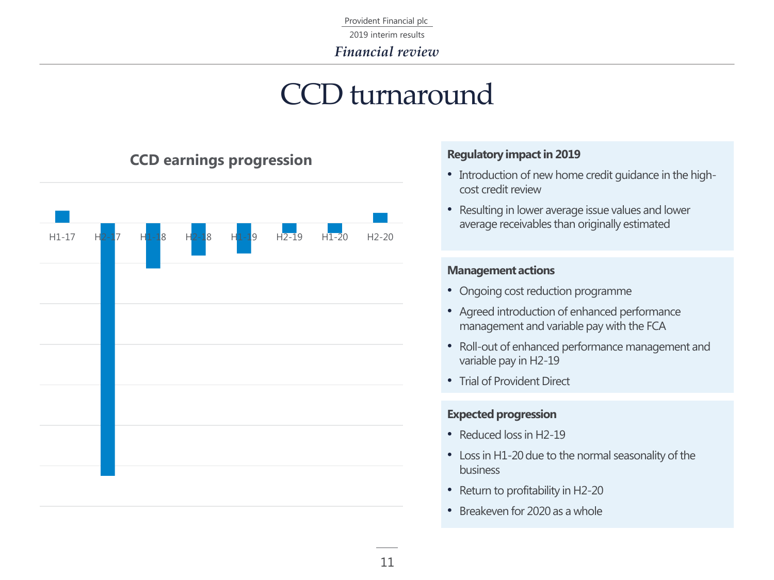2019 interim results

*Financial review*

### CCD turnaround



#### **Regulatory impact in 2019**

- Introduction of new home credit guidance in the highcost credit review
- Resulting in lower average issue values and lower average receivables than originally estimated

#### **Management actions**

- Ongoing cost reduction programme
- Agreed introduction of enhanced performance management and variable pay with the FCA
- Roll-out of enhanced performance management and variable pay in H2-19
- Trial of Provident Direct

#### **Expected progression**

- Reduced loss in H2-19
- Loss in H1-20 due to the normal seasonality of the business
- Return to profitability in H2-20
- Breakeven for 2020 as a whole

### **CCD earnings progression**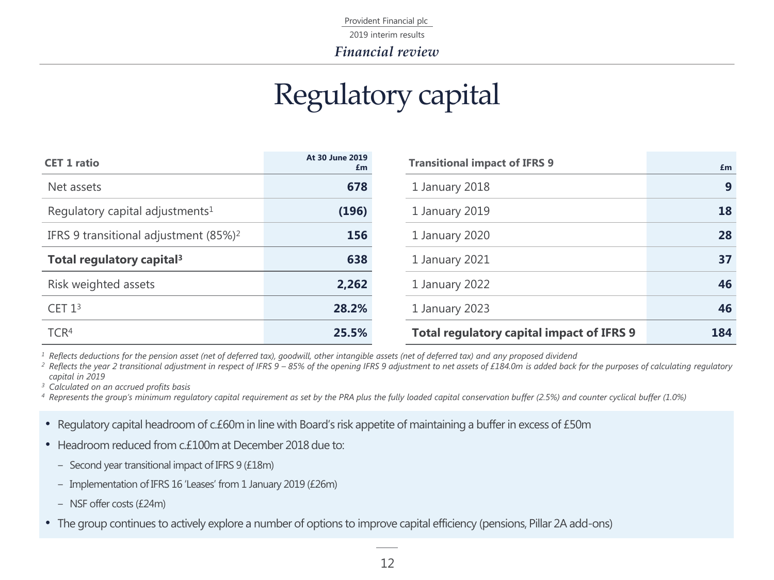2019 interim results

*Financial review*

### Regulatory capital

| <b>CET 1 ratio</b>                                | At 30 June 2019<br>£m | <b>Transitional impact of IFRS 9</b>             | £m  |
|---------------------------------------------------|-----------------------|--------------------------------------------------|-----|
| Net assets                                        | 678                   | 1 January 2018                                   | 9   |
| Regulatory capital adjustments <sup>1</sup>       | (196)                 | 1 January 2019                                   | 18  |
| IFRS 9 transitional adjustment (85%) <sup>2</sup> | 156                   | 1 January 2020                                   | 28  |
| Total regulatory capital <sup>3</sup>             | 638                   | 1 January 2021                                   | 37  |
| Risk weighted assets                              | 2,262                 | 1 January 2022                                   | 46  |
| CET $13$                                          | 28.2%                 | 1 January 2023                                   | 46  |
| TCR <sup>4</sup>                                  | 25.5%                 | <b>Total regulatory capital impact of IFRS 9</b> | 184 |

*<sup>1</sup> Reflects deductions for the pension asset (net of deferred tax), goodwill, other intangible assets (net of deferred tax) and any proposed dividend*

<sup>2</sup> Reflects the year 2 transitional adjustment in respect of IFRS 9 – 85% of the opening IFRS 9 adjustment to net assets of £184.0m is added back for the purposes of calculating regulatory *capital in 2019* 

*<sup>3</sup> Calculated on an accrued profits basis*

*<sup>4</sup> Represents the group's minimum regulatory capital requirement as set by the PRA plus the fully loaded capital conservation buffer (2.5%) and counter cyclical buffer (1.0%)* 

- Regulatory capital headroom of c.£60m in line with Board's risk appetite of maintaining a buffer in excess of £50m
- Headroom reduced from c.£100m at December 2018 due to:
	- Second year transitional impact of IFRS 9 (£18m)
	- Implementation of IFRS 16 'Leases' from 1 January 2019 (£26m)
	- ‒ NSF offer costs (£24m)
- The group continues to actively explore a number of options to improve capital efficiency (pensions, Pillar 2A add-ons)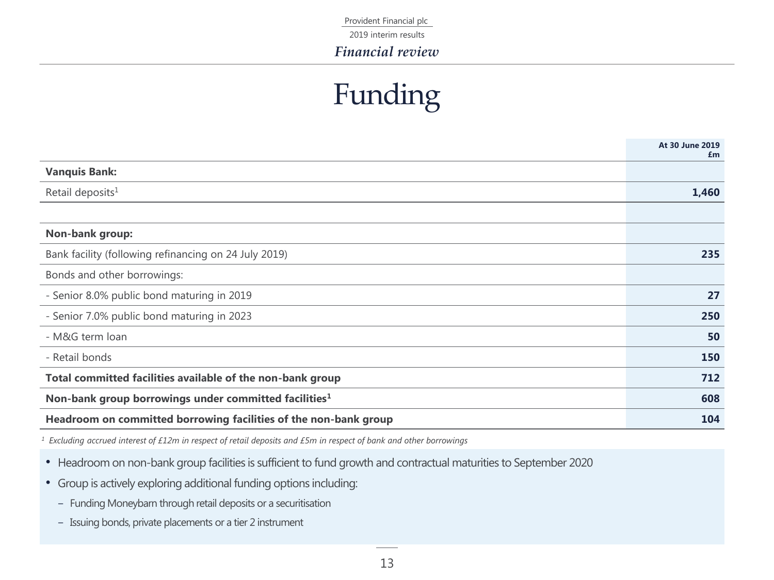2019 interim results

*Financial review*

### Funding

|                                                                   | At 30 June 2019<br>£m |
|-------------------------------------------------------------------|-----------------------|
| <b>Vanquis Bank:</b>                                              |                       |
| Retail deposits <sup>1</sup>                                      | 1,460                 |
|                                                                   |                       |
| Non-bank group:                                                   |                       |
| Bank facility (following refinancing on 24 July 2019)             | 235                   |
| Bonds and other borrowings:                                       |                       |
| - Senior 8.0% public bond maturing in 2019                        | 27                    |
| - Senior 7.0% public bond maturing in 2023                        | 250                   |
| - M&G term loan                                                   | 50                    |
| - Retail bonds                                                    | 150                   |
| Total committed facilities available of the non-bank group        | 712                   |
| Non-bank group borrowings under committed facilities <sup>1</sup> | 608                   |
| Headroom on committed borrowing facilities of the non-bank group  | 104                   |

*<sup>1</sup> Excluding accrued interest of £12m in respect of retail deposits and £5m in respect of bank and other borrowings*

- Headroom on non-bank group facilities is sufficient to fund growth and contractual maturities to September 2020
- Group is actively exploring additional funding options including:
	- Funding Moneybarn through retail deposits or a securitisation
	- Issuing bonds, private placements or a tier 2 instrument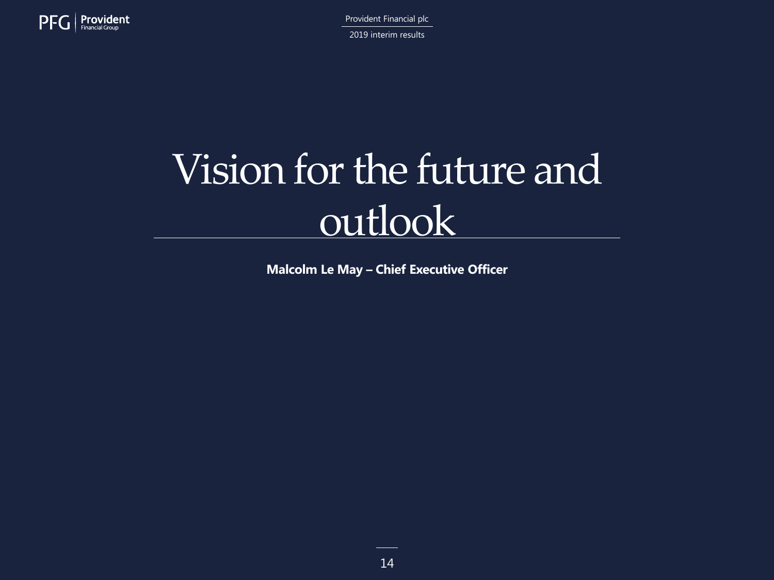

Provident Financial plc 2019 interim results

## Vision for the future and outlook

**Malcolm Le May – Chief Executive Officer**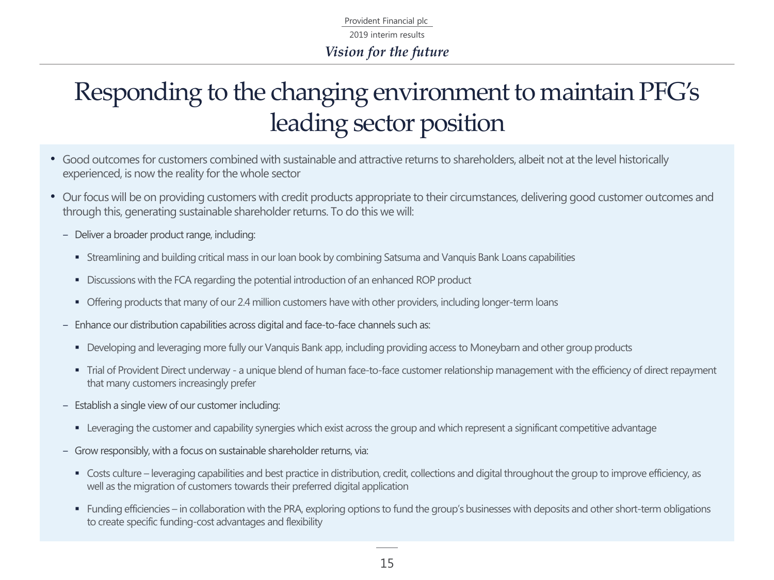Provident Financial plc *Vision for the future* 2019 interim results

### Responding to the changing environment to maintain PFG's leading sector position

- Good outcomes for customers combined with sustainable and attractive returns to shareholders, albeit not at the level historically experienced, is now the reality for the whole sector
- Our focus will be on providing customers with credit products appropriate to their circumstances, delivering good customer outcomes and through this, generating sustainable shareholder returns. To do this we will:
	- Deliver a broader product range, including:
		- Streamlining and building critical mass in our loan book by combining Satsuma and Vanquis Bank Loans capabilities
		- **EXEC** Discussions with the FCA regarding the potential introduction of an enhanced ROP product
		- Offering products that many of our 2.4 million customers have with other providers, including longer-term loans
	- Enhance our distribution capabilities across digital and face-to-face channels such as:
		- Developing and leveraging more fully our Vanquis Bank app, including providing access to Moneybarn and other group products
		- Trial of Provident Direct underway a unique blend of human face-to-face customer relationship management with the efficiency of direct repayment that many customers increasingly prefer
	- Establish a single view of our customer including:
		- Leveraging the customer and capability synergies which exist across the group and which represent a significant competitive advantage
	- Grow responsibly, with a focus on sustainable shareholder returns, via:
		- Costs culture leveraging capabilities and best practice in distribution, credit, collections and digital throughout the group to improve efficiency, as well as the migration of customers towards their preferred digital application
		- Funding efficiencies in collaboration with the PRA, exploring options to fund the group's businesses with deposits and other short-term obligations to create specific funding-cost advantages and flexibility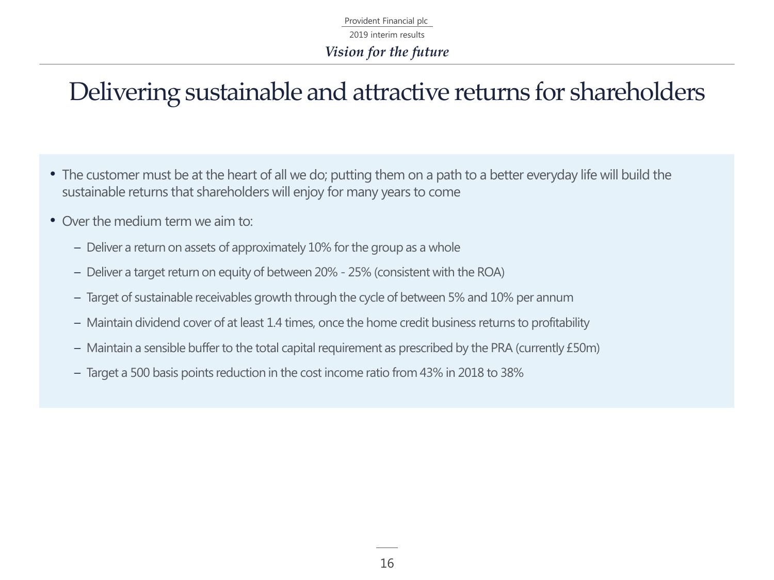Provident Financial plc *Vision for the future* 2019 interim results

### Delivering sustainable and attractive returns for shareholders

- The customer must be at the heart of all we do; putting them on a path to a better everyday life will build the sustainable returns that shareholders will enjoy for many years to come
- Over the medium term we aim to:
	- Deliver a return on assets of approximately 10% for the group as a whole
	- Deliver a target return on equity of between 20% 25% (consistent with the ROA)
	- Target of sustainable receivables growth through the cycle of between 5% and 10% per annum
	- Maintain dividend cover of at least 1.4 times, once the home credit business returns to profitability
	- Maintain a sensible buffer to the total capital requirement as prescribed by the PRA (currently £50m)
	- Target a 500 basis points reduction in the cost income ratio from 43% in 2018 to 38%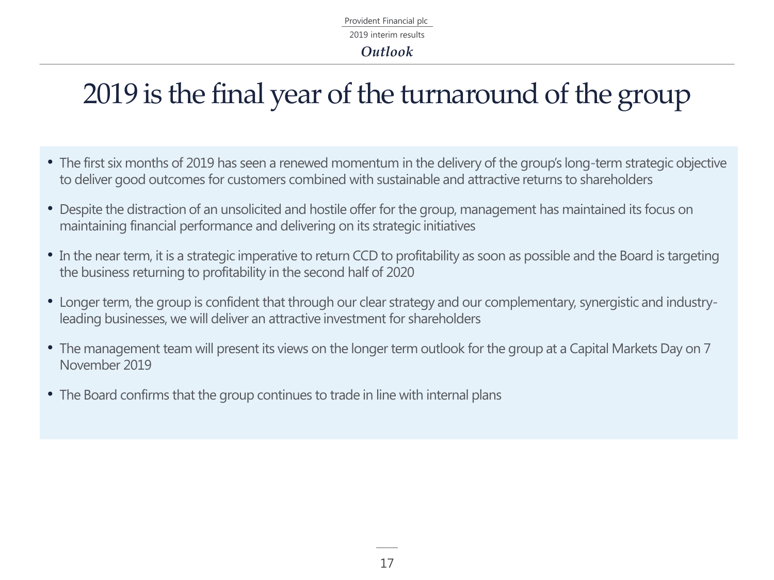### 2019 is the final year of the turnaround of the group

- The first six months of 2019 has seen a renewed momentum in the delivery of the group's long-term strategic objective to deliver good outcomes for customers combined with sustainable and attractive returns to shareholders
- Despite the distraction of an unsolicited and hostile offer for the group, management has maintained its focus on maintaining financial performance and delivering on its strategic initiatives
- In the near term, it is a strategic imperative to return CCD to profitability as soon as possible and the Board is targeting the business returning to profitability in the second half of 2020
- Longer term, the group is confident that through our clear strategy and our complementary, synergistic and industryleading businesses, we will deliver an attractive investment for shareholders
- The management team will present its views on the longer term outlook for the group at a Capital Markets Day on 7 November 2019
- The Board confirms that the group continues to trade in line with internal plans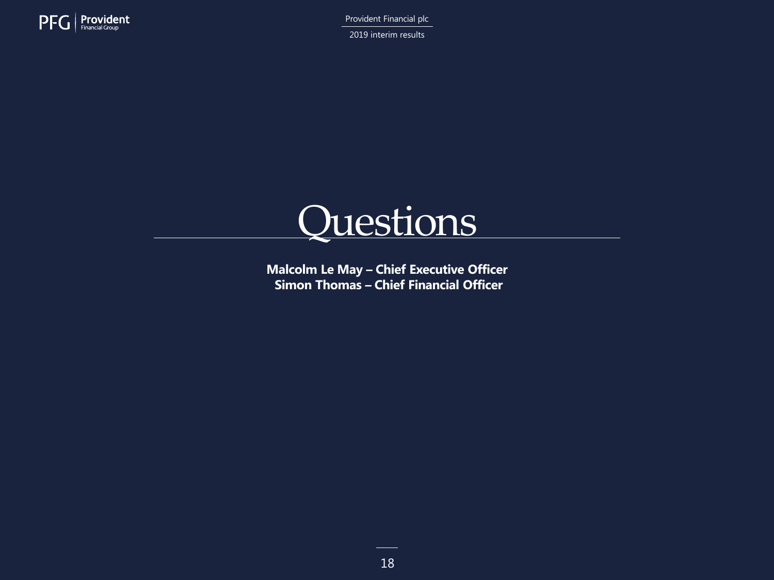

2019 interim results



**Malcolm Le May – Chief Executive Officer Simon Thomas – Chief Financial Officer**